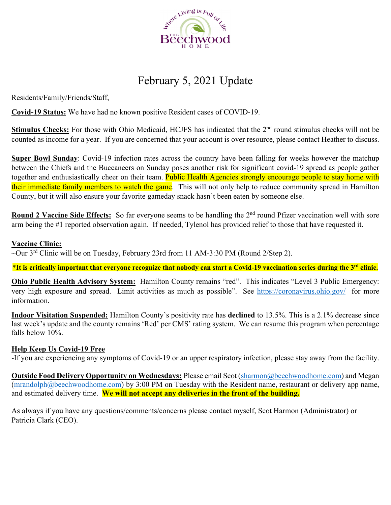

## February 5, 2021 Update

Residents/Family/Friends/Staff,

**Covid-19 Status:** We have had no known positive Resident cases of COVID-19.

**Stimulus Checks:** For those with Ohio Medicaid, HCJFS has indicated that the 2<sup>nd</sup> round stimulus checks will not be counted as income for a year. If you are concerned that your account is over resource, please contact Heather to discuss.

**Super Bowl Sunday**: Covid-19 infection rates across the country have been falling for weeks however the matchup between the Chiefs and the Buccaneers on Sunday poses another risk for significant covid-19 spread as people gather together and enthusiastically cheer on their team. Public Health Agencies strongly encourage people to stay home with their immediate family members to watch the game. This will not only help to reduce community spread in Hamilton County, but it will also ensure your favorite gameday snack hasn't been eaten by someone else.

**Round 2 Vaccine Side Effects:** So far everyone seems to be handling the 2<sup>nd</sup> round Pfizer vaccination well with sore arm being the #1 reported observation again. If needed, Tylenol has provided relief to those that have requested it.

### **Vaccine Clinic:**

 $\overline{\sim}$ Our  $3^{rd}$  Clinic will be on Tuesday, February 23rd from 11 AM-3:30 PM (Round 2/Step 2).

\***It is critically important that everyone recognize that nobody can start a Covid-19 vaccination series during the 3rd clinic.**

**Ohio Public Health Advisory System:** Hamilton County remains "red". This indicates "Level 3 Public Emergency: very high exposure and spread. Limit activities as much as possible". See https://coronavirus.ohio.gov/ for more information.

**Indoor Visitation Suspended:** Hamilton County's positivity rate has **declined** to 13.5%. This is a 2.1% decrease since last week's update and the county remains 'Red' per CMS' rating system. We can resume this program when percentage falls below 10%.

### **Help Keep Us Covid-19 Free**

-If you are experiencing any symptoms of Covid-19 or an upper respiratory infection, please stay away from the facility.

**Outside Food Delivery Opportunity on Wednesdays:** Please email Scot (sharmon@beechwoodhome.com) and Megan (mrandolph@beechwoodhome.com) by 3:00 PM on Tuesday with the Resident name, restaurant or delivery app name, and estimated delivery time. **We will not accept any deliveries in the front of the building.**

As always if you have any questions/comments/concerns please contact myself, Scot Harmon (Administrator) or Patricia Clark (CEO).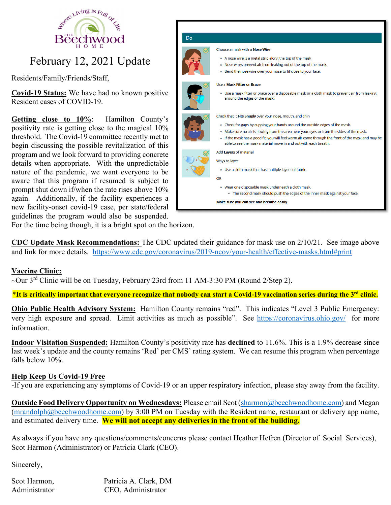

# February 12, 2021 Update

Residents/Family/Friends/Staff,

**Covid-19 Status:** We have had no known positive Resident cases of COVID-19.

**Getting close to 10%**: Hamilton County's positivity rate is getting close to the magical 10% threshold. The Covid-19 committee recently met to begin discussing the possible revitalization of this program and we look forward to providing concrete details when appropriate. With the unpredictable nature of the pandemic, we want everyone to be aware that this program if resumed is subject to prompt shut down if/when the rate rises above 10% again. Additionally, if the facility experiences a new facility-onset covid-19 case, per state/federal guidelines the program would also be suspended.



For the time being though, it is a bright spot on the horizon.

**CDC Update Mask Recommendations:** The CDC updated their guidance for mask use on 2/10/21. See image above and link for more details. https://www.cdc.gov/coronavirus/2019-ncov/your-health/effective-masks.html#print

### **Vaccine Clinic:**

~Our 3rd Clinic will be on Tuesday, February 23rd from 11 AM-3:30 PM (Round 2/Step 2).

\***It is critically important that everyone recognize that nobody can start a Covid-19 vaccination series during the 3rd clinic.**

**Ohio Public Health Advisory System:** Hamilton County remains "red". This indicates "Level 3 Public Emergency: very high exposure and spread. Limit activities as much as possible". See https://coronavirus.ohio.gov/ for more information.

**Indoor Visitation Suspended:** Hamilton County's positivity rate has **declined** to 11.6%. This is a 1.9% decrease since last week's update and the county remains 'Red' per CMS' rating system. We can resume this program when percentage falls below 10%.

### **Help Keep Us Covid-19 Free**

-If you are experiencing any symptoms of Covid-19 or an upper respiratory infection, please stay away from the facility.

**Outside Food Delivery Opportunity on Wednesdays:** Please email Scot (sharmon@beechwoodhome.com) and Megan (mrandolph@beechwoodhome.com) by 3:00 PM on Tuesday with the Resident name, restaurant or delivery app name, and estimated delivery time. **We will not accept any deliveries in the front of the building.**

As always if you have any questions/comments/concerns please contact Heather Hefren (Director of Social Services), Scot Harmon (Administrator) or Patricia Clark (CEO).

Sincerely,

Scot Harmon, Patricia A. Clark, DM Administrator CEO, Administrator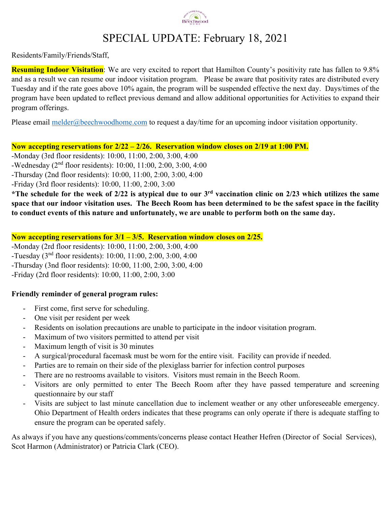

## SPECIAL UPDATE: February 18, 2021

Residents/Family/Friends/Staff,

**Resuming Indoor Visitation**: We are very excited to report that Hamilton County's positivity rate has fallen to 9.8% and as a result we can resume our indoor visitation program. Please be aware that positivity rates are distributed every Tuesday and if the rate goes above 10% again, the program will be suspended effective the next day. Days/times of the program have been updated to reflect previous demand and allow additional opportunities for Activities to expand their program offerings.

Please email melder@beechwoodhome.com to request a day/time for an upcoming indoor visitation opportunity.

**Now accepting reservations for 2/22 – 2/26. Reservation window closes on 2/19 at 1:00 PM.** 

-Monday (3rd floor residents): 10:00, 11:00, 2:00, 3:00, 4:00

-Wednesday (2nd floor residents): 10:00, 11:00, 2:00, 3:00, 4:00

-Thursday (2nd floor residents): 10:00, 11:00, 2:00, 3:00, 4:00

-Friday (3rd floor residents): 10:00, 11:00, 2:00, 3:00

**\*The schedule for the week of 2/22 is atypical due to our 3rd vaccination clinic on 2/23 which utilizes the same space that our indoor visitation uses. The Beech Room has been determined to be the safest space in the facility to conduct events of this nature and unfortunately, we are unable to perform both on the same day.** 

### **Now accepting reservations for 3/1 – 3/5. Reservation window closes on 2/25.**

-Monday (2rd floor residents): 10:00, 11:00, 2:00, 3:00, 4:00 -Tuesday (3nd floor residents): 10:00, 11:00, 2:00, 3:00, 4:00 -Thursday (3nd floor residents): 10:00, 11:00, 2:00, 3:00, 4:00 -Friday (2rd floor residents): 10:00, 11:00, 2:00, 3:00

### **Friendly reminder of general program rules:**

- First come, first serve for scheduling.
- One visit per resident per week
- Residents on isolation precautions are unable to participate in the indoor visitation program.
- Maximum of two visitors permitted to attend per visit
- Maximum length of visit is 30 minutes
- A surgical/procedural facemask must be worn for the entire visit. Facility can provide if needed.
- Parties are to remain on their side of the plexiglass barrier for infection control purposes
- There are no restrooms available to visitors. Visitors must remain in the Beech Room.
- Visitors are only permitted to enter The Beech Room after they have passed temperature and screening questionnaire by our staff
- Visits are subject to last minute cancellation due to inclement weather or any other unforeseeable emergency. Ohio Department of Health orders indicates that these programs can only operate if there is adequate staffing to ensure the program can be operated safely.

As always if you have any questions/comments/concerns please contact Heather Hefren (Director of Social Services), Scot Harmon (Administrator) or Patricia Clark (CEO).